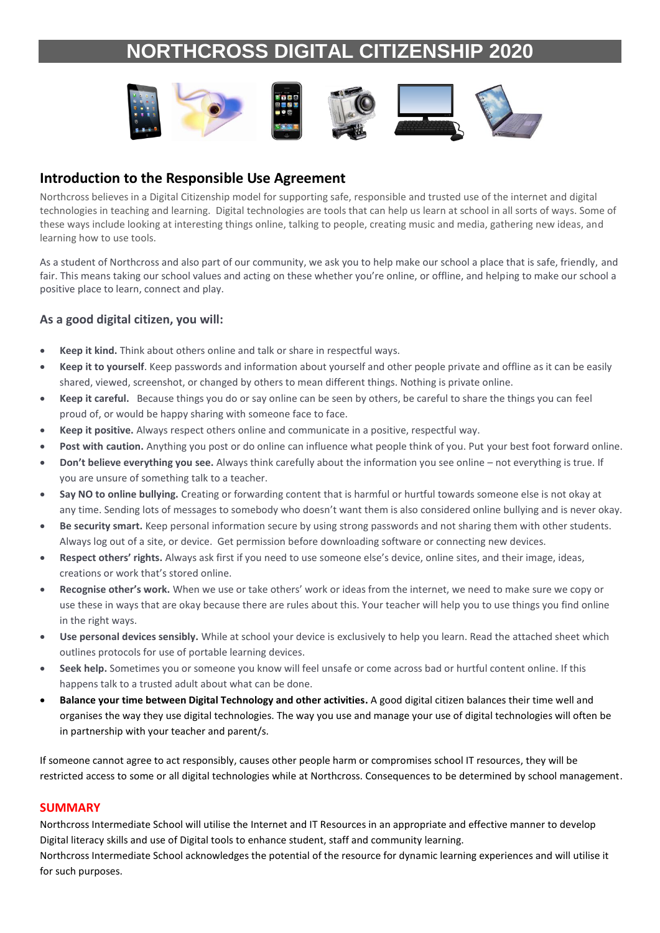## **NORTHCROSS DIGITAL CITIZENSHIP 2020**



### **Introduction to the Responsible Use Agreement**

Northcross believes in a Digital Citizenship model for supporting safe, responsible and trusted use of the internet and digital technologies in teaching and learning. Digital technologies are tools that can help us learn at school in all sorts of ways. Some of these ways include looking at interesting things online, talking to people, creating music and media, gathering new ideas, and learning how to use tools.

As a student of Northcross and also part of our community, we ask you to help make our school a place that is safe, friendly, and fair. This means taking our school values and acting on these whether you're online, or offline, and helping to make our school a positive place to learn, connect and play.

#### **As a good digital citizen, you will:**

- **Keep it kind.** Think about others online and talk or share in respectful ways.
- **Keep it to yourself**. Keep passwords and information about yourself and other people private and offline as it can be easily shared, viewed, screenshot, or changed by others to mean different things. Nothing is private online.
- **Keep it careful.** Because things you do or say online can be seen by others, be careful to share the things you can feel proud of, or would be happy sharing with someone face to face.
- **Keep it positive.** Always respect others online and communicate in a positive, respectful way.
- **Post with caution.** Anything you post or do online can influence what people think of you. Put your best foot forward online.
- **Don't believe everything you see.** Always think carefully about the information you see online not everything is true. If you are unsure of something talk to a teacher.
- **Say NO to online bullying.** Creating or forwarding content that is harmful or hurtful towards someone else is not okay at any time. Sending lots of messages to somebody who doesn't want them is also considered online bullying and is never okay.
- **Be security smart.** Keep personal information secure by using strong passwords and not sharing them with other students. Always log out of a site, or device. Get permission before downloading software or connecting new devices.
- **Respect others' rights.** Always ask first if you need to use someone else's device, online sites, and their image, ideas, creations or work that's stored online.
- **Recognise other's work.** When we use or take others' work or ideas from the internet, we need to make sure we copy or use these in ways that are okay because there are rules about this. Your teacher will help you to use things you find online in the right ways.
- **Use personal devices sensibly.** While at school your device is exclusively to help you learn. Read the attached sheet which outlines protocols for use of portable learning devices.
- **Seek help.** Sometimes you or someone you know will feel unsafe or come across bad or hurtful content online. If this happens talk to a trusted adult about what can be done.
- **Balance your time between Digital Technology and other activities.** A good digital citizen balances their time well and organises the way they use digital technologies. The way you use and manage your use of digital technologies will often be in partnership with your teacher and parent/s.

If someone cannot agree to act responsibly, causes other people harm or compromises school IT resources, they will be restricted access to some or all digital technologies while at Northcross. Consequences to be determined by school management.

#### **SUMMARY**

Northcross Intermediate School will utilise the Internet and IT Resources in an appropriate and effective manner to develop Digital literacy skills and use of Digital tools to enhance student, staff and community learning.

Northcross Intermediate School acknowledges the potential of the resource for dynamic learning experiences and will utilise it for such purposes.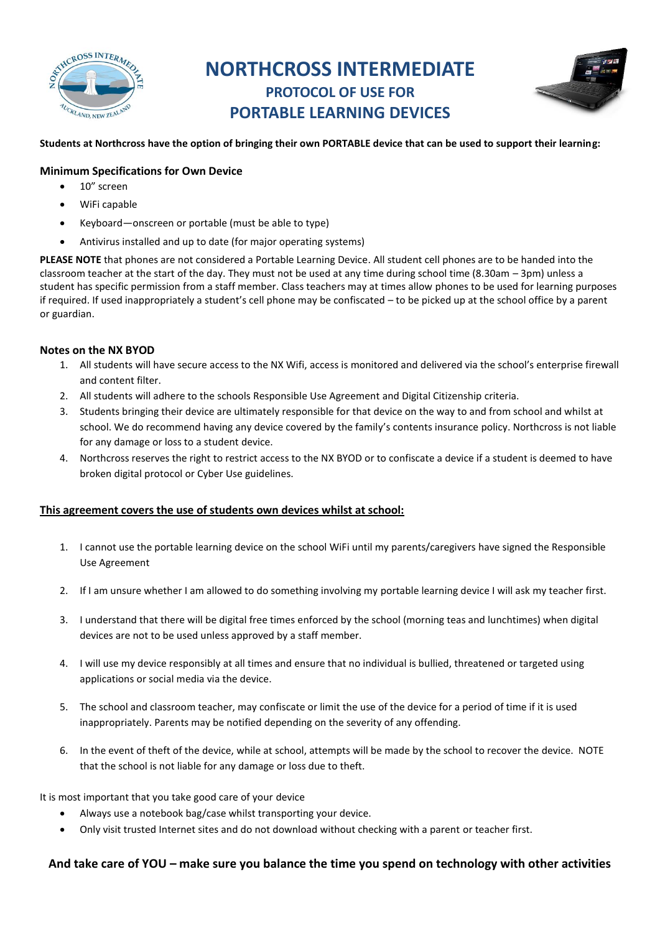

## **NORTHCROSS INTERMEDIATE PROTOCOL OF USE FOR PORTABLE LEARNING DEVICES**



#### **Students at Northcross have the option of bringing their own PORTABLE device that can be used to support their learning:**

#### **Minimum Specifications for Own Device**

- 10" screen
- WiFi capable
- Keyboard—onscreen or portable (must be able to type)
- Antivirus installed and up to date (for major operating systems)

**PLEASE NOTE** that phones are not considered a Portable Learning Device. All student cell phones are to be handed into the classroom teacher at the start of the day. They must not be used at any time during school time (8.30am – 3pm) unless a student has specific permission from a staff member. Class teachers may at times allow phones to be used for learning purposes if required. If used inappropriately a student's cell phone may be confiscated – to be picked up at the school office by a parent or guardian.

#### **Notes on the NX BYOD**

- 1. All students will have secure access to the NX Wifi, access is monitored and delivered via the school's enterprise firewall and content filter.
- 2. All students will adhere to the schools Responsible Use Agreement and Digital Citizenship criteria.
- 3. Students bringing their device are ultimately responsible for that device on the way to and from school and whilst at school. We do recommend having any device covered by the family's contents insurance policy. Northcross is not liable for any damage or loss to a student device.
- 4. Northcross reserves the right to restrict access to the NX BYOD or to confiscate a device if a student is deemed to have broken digital protocol or Cyber Use guidelines.

#### **This agreement covers the use of students own devices whilst at school:**

- 1. I cannot use the portable learning device on the school WiFi until my parents/caregivers have signed the Responsible Use Agreement
- 2. If I am unsure whether I am allowed to do something involving my portable learning device I will ask my teacher first.
- 3. I understand that there will be digital free times enforced by the school (morning teas and lunchtimes) when digital devices are not to be used unless approved by a staff member.
- 4. I will use my device responsibly at all times and ensure that no individual is bullied, threatened or targeted using applications or social media via the device.
- 5. The school and classroom teacher, may confiscate or limit the use of the device for a period of time if it is used inappropriately. Parents may be notified depending on the severity of any offending.
- 6. In the event of theft of the device, while at school, attempts will be made by the school to recover the device. NOTE that the school is not liable for any damage or loss due to theft.

It is most important that you take good care of your device

- Always use a notebook bag/case whilst transporting your device.
- Only visit trusted Internet sites and do not download without checking with a parent or teacher first.

#### **And take care of YOU – make sure you balance the time you spend on technology with other activities**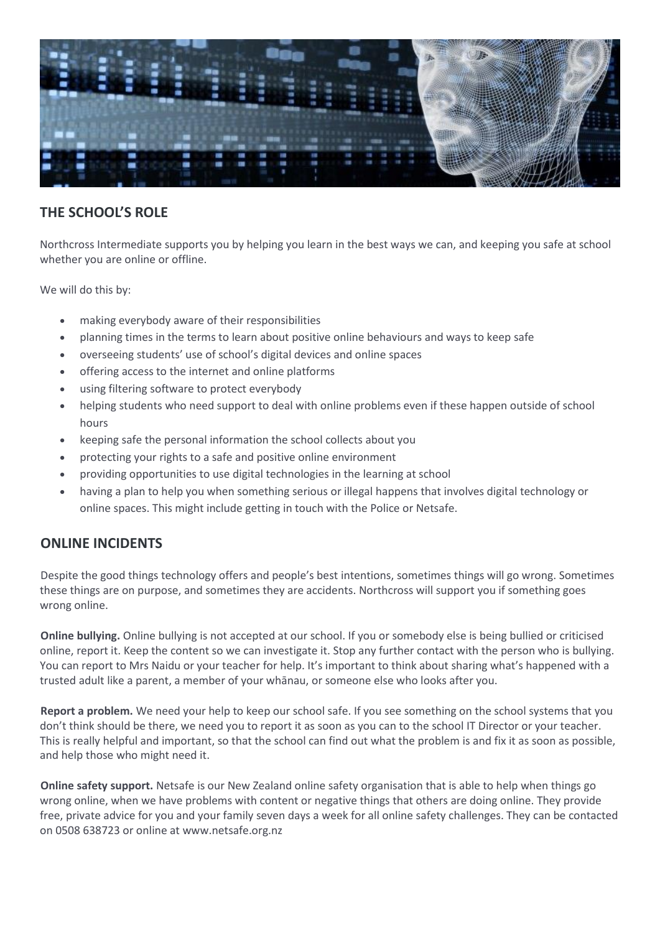

### **THE SCHOOL'S ROLE**

Northcross Intermediate supports you by helping you learn in the best ways we can, and keeping you safe at school whether you are online or offline.

We will do this by:

- making everybody aware of their responsibilities
- planning times in the terms to learn about positive online behaviours and ways to keep safe
- overseeing students' use of school's digital devices and online spaces
- offering access to the internet and online platforms
- using filtering software to protect everybody
- helping students who need support to deal with online problems even if these happen outside of school hours
- keeping safe the personal information the school collects about you
- protecting your rights to a safe and positive online environment
- providing opportunities to use digital technologies in the learning at school
- having a plan to help you when something serious or illegal happens that involves digital technology or online spaces. This might include getting in touch with the Police or Netsafe.

### **ONLINE INCIDENTS**

Despite the good things technology offers and people's best intentions, sometimes things will go wrong. Sometimes these things are on purpose, and sometimes they are accidents. Northcross will support you if something goes wrong online.

**Online bullying.** Online bullying is not accepted at our school. If you or somebody else is being bullied or criticised online, report it. Keep the content so we can investigate it. Stop any further contact with the person who is bullying. You can report to Mrs Naidu or your teacher for help. It's important to think about sharing what's happened with a trusted adult like a parent, a member of your whānau, or someone else who looks after you.

**Report a problem.** We need your help to keep our school safe. If you see something on the school systems that you don't think should be there, we need you to report it as soon as you can to the school IT Director or your teacher. This is really helpful and important, so that the school can find out what the problem is and fix it as soon as possible, and help those who might need it.

**Online safety support.** Netsafe is our New Zealand online safety organisation that is able to help when things go wrong online, when we have problems with content or negative things that others are doing online. They provide free, private advice for you and your family seven days a week for all online safety challenges. They can be contacted on 0508 638723 or online at www.netsafe.org.nz